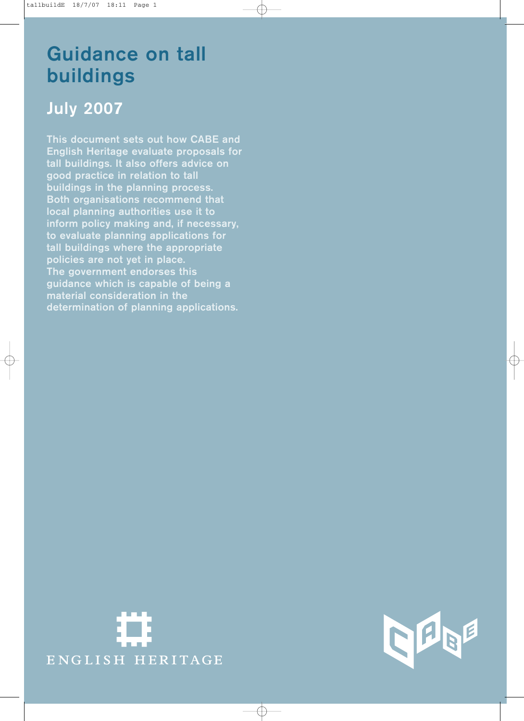# Guidance on tall buildings

## July 2007

This document sets out how CABE and English Heritage evaluate proposals for tall buildings. It also offers advice on good practice in relation to tall buildings in the planning process. Both organisations recommend that local planning authorities use it to inform policy making and, if necessary, to evaluate planning applications for tall buildings where the appropriate policies are not yet in place. The government endorses this guidance which is capable of being a material consideration in the determination of planning applications.



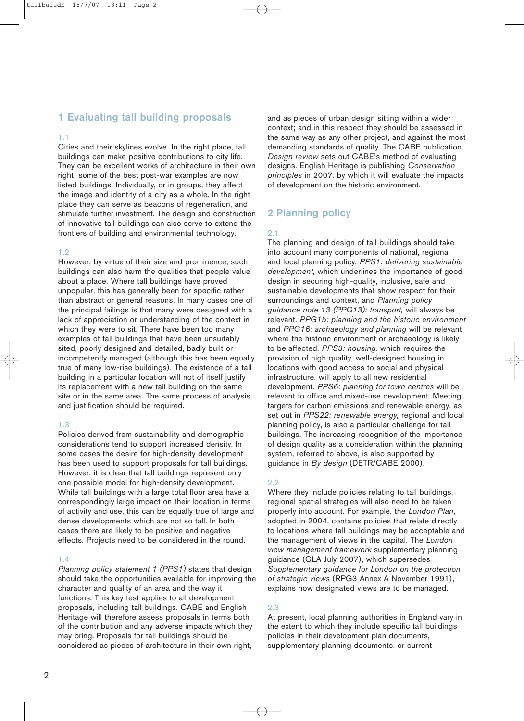### 1 Evaluating tall building proposals

### 1.1

Cities and their skylines evolve. In the right place, tall buildings can make positive contributions to city life. They can be excellent works of architecture in their own right; some of the best post-war examples are now listed buildings. Individually, or in groups, they affect the image and identity of a city as a whole. In the right place they can serve as beacons of regeneration, and stimulate further investment. The design and construction of innovative tall buildings can also serve to extend the frontiers of building and environmental technology.

### 1.2

However, by virtue of their size and prominence, such buildings can also harm the qualities that people value about a place. Where tall buildings have proved unpopular, this has generally been for specific rather than abstract or general reasons. In many cases one of the principal failings is that many were designed with a lack of appreciation or understanding of the context in which they were to sit. There have been too many examples of tall buildings that have been unsuitably sited, poorly designed and detailed, badly built or incompetently managed (although this has been equally true of many low-rise buildings). The existence of a tall building in a particular location will not of itself justify its replacement with a new tall building on the same site or in the same area. The same process of analysis and justification should be required.

### 1.3

Policies derived from sustainability and demographic considerations tend to support increased density. In some cases the desire for high-density development has been used to support proposals for tall buildings. However, it is clear that tall buildings represent only one possible model for high-density development. While tall buildings with a large total floor area have a correspondingly large impact on their location in terms of activity and use, this can be equally true of large and dense developments which are not so tall. In both cases there are likely to be positive and negative effects. Projects need to be considered in the round.

### 1.4

*Planning policy statement 1 (PPS1)* states that design should take the opportunities available for improving the character and quality of an area and the way it functions. This key test applies to all development proposals, including tall buildings. CABE and English Heritage will therefore assess proposals in terms both of the contribution and any adverse impacts which they may bring. Proposals for tall buildings should be considered as pieces of architecture in their own right,

and as pieces of urban design sitting within a wider context; and in this respect they should be assessed in the same way as any other project, and against the most demanding standards of quality. The CABE publication *Design review* sets out CABE's method of evaluating designs. English Heritage is publishing *Conservation principles* in 2007*,* by which it will evaluate the impacts of development on the historic environment.

## 2 Planning policy

### 2.1

The planning and design of tall buildings should take into account many components of national, regional and local planning policy. *PPS1: delivering sustainable development,* which underlines the importance of good design in securing high-quality, inclusive, safe and sustainable developments that show respect for their surroundings and context, and *Planning policy guidance note 13 (PPG13): transport,* will always be relevant. *PPG15: planning and the historic environment* and *PPG16: archaeology and planning* will be relevant where the historic environment or archaeology is likely to be affected. *PPS3: housing,* which requires the provision of high quality, well-designed housing in locations with good access to social and physical infrastructure, will apply to all new residential development. *PPS6: planning for town centres* will be relevant to office and mixed-use development. Meeting targets for carbon emissions and renewable energy, as set out in *PPS22: renewable energy,* regional and local planning policy, is also a particular challenge for tall buildings. The increasing recognition of the importance of design quality as a consideration within the planning system, referred to above, is also supported by guidance in *By design* (DETR/CABE 2000).

### 2.2

Where they include policies relating to tall buildings, regional spatial strategies will also need to be taken properly into account. For example, the *London Plan*, adopted in 2004, contains policies that relate directly to locations where tall buildings may be acceptable and the management of views in the capital. The *London view management framework* supplementary planning guidance (GLA July 2007), which supersedes *Supplementary guidance for London on the protection of strategic views* (RPG3 Annex A November 1991), explains how designated views are to be managed.

### 2.3

At present, local planning authorities in England vary in the extent to which they include specific tall buildings policies in their development plan documents, supplementary planning documents, or current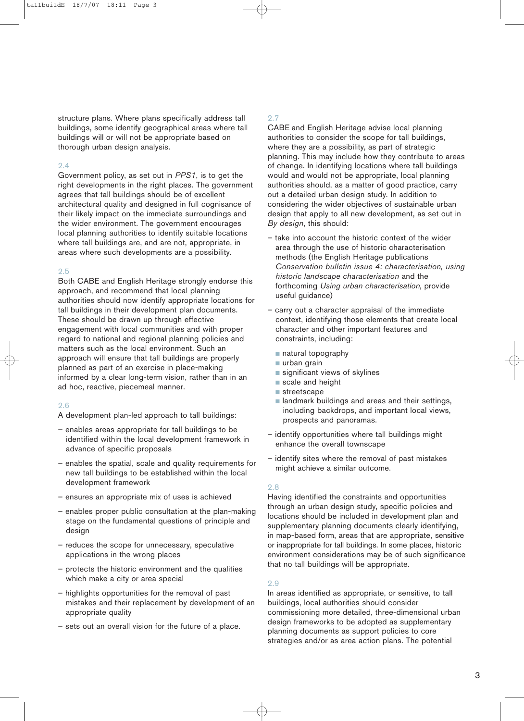structure plans. Where plans specifically address tall buildings, some identify geographical areas where tall buildings will or will not be appropriate based on thorough urban design analysis.

### $2.4$

Government policy, as set out in *PPS1*, is to get the right developments in the right places. The government agrees that tall buildings should be of excellent architectural quality and designed in full cognisance of their likely impact on the immediate surroundings and the wider environment. The government encourages local planning authorities to identify suitable locations where tall buildings are, and are not, appropriate, in areas where such developments are a possibility.

#### 2.5

Both CABE and English Heritage strongly endorse this approach, and recommend that local planning authorities should now identify appropriate locations for tall buildings in their development plan documents. These should be drawn up through effective engagement with local communities and with proper regard to national and regional planning policies and matters such as the local environment. Such an approach will ensure that tall buildings are properly planned as part of an exercise in place-making informed by a clear long-term vision, rather than in an ad hoc, reactive, piecemeal manner.

### 2.6

- A development plan-led approach to tall buildings:
- enables areas appropriate for tall buildings to be identified within the local development framework in advance of specific proposals
- enables the spatial, scale and quality requirements for new tall buildings to be established within the local development framework
- ensures an appropriate mix of uses is achieved
- enables proper public consultation at the plan-making stage on the fundamental questions of principle and desian
- reduces the scope for unnecessary, speculative applications in the wrong places
- protects the historic environment and the qualities which make a city or area special
- highlights opportunities for the removal of past mistakes and their replacement by development of an appropriate quality
- sets out an overall vision for the future of a place.

### 2.7

CABE and English Heritage advise local planning authorities to consider the scope for tall buildings, where they are a possibility, as part of strategic planning. This may include how they contribute to areas of change. In identifying locations where tall buildings would and would not be appropriate, local planning authorities should, as a matter of good practice, carry out a detailed urban design study. In addition to considering the wider objectives of sustainable urban design that apply to all new development, as set out in *By design*, this should:

- take into account the historic context of the wider area through the use of historic characterisation methods (the English Heritage publications *Conservation bulletin issue 4: characterisation, using historic landscape characterisation* and the forthcoming *Using urban characterisation,* provide useful guidance)
- carry out a character appraisal of the immediate context, identifying those elements that create local character and other important features and constraints, including:
	- natural topography
	- urban grain
	- significant views of skylines
	- scale and height
	- streetscape
	- landmark buildings and areas and their settings, including backdrops, and important local views, prospects and panoramas.
- identify opportunities where tall buildings might enhance the overall townscape
- identify sites where the removal of past mistakes might achieve a similar outcome.

### 2.8

Having identified the constraints and opportunities through an urban design study, specific policies and locations should be included in development plan and supplementary planning documents clearly identifying, in map-based form, areas that are appropriate, sensitive or inappropriate for tall buildings. In some places, historic environment considerations may be of such significance that no tall buildings will be appropriate.

### 2.9

In areas identified as appropriate, or sensitive, to tall buildings, local authorities should consider commissioning more detailed, three-dimensional urban design frameworks to be adopted as supplementary planning documents as support policies to core strategies and/or as area action plans. The potential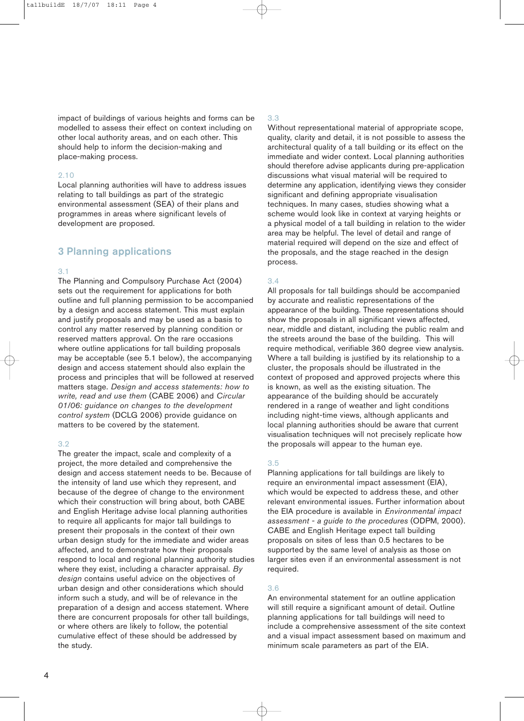impact of buildings of various heights and forms can be modelled to assess their effect on context including on other local authority areas, and on each other. This should help to inform the decision-making and place-making process.

### 2.10

Local planning authorities will have to address issues relating to tall buildings as part of the strategic environmental assessment (SEA) of their plans and programmes in areas where significant levels of development are proposed.

### 3 Planning applications

#### 3.1

The Planning and Compulsory Purchase Act (2004) sets out the requirement for applications for both outline and full planning permission to be accompanied by a design and access statement. This must explain and justify proposals and may be used as a basis to control any matter reserved by planning condition or reserved matters approval. On the rare occasions where outline applications for tall building proposals may be acceptable (see 5.1 below), the accompanying design and access statement should also explain the process and principles that will be followed at reserved matters stage. *Design and access statements: how to write, read and use them* (CABE 2006) and *Circular 01/06: guidance on changes to the development control system* (DCLG 2006) provide guidance on matters to be covered by the statement.

### 3.2

The greater the impact, scale and complexity of a project, the more detailed and comprehensive the design and access statement needs to be. Because of the intensity of land use which they represent, and because of the degree of change to the environment which their construction will bring about, both CABE and English Heritage advise local planning authorities to require all applicants for major tall buildings to present their proposals in the context of their own urban design study for the immediate and wider areas affected, and to demonstrate how their proposals respond to local and regional planning authority studies where they exist, including a character appraisal. *By design* contains useful advice on the objectives of urban design and other considerations which should inform such a study, and will be of relevance in the preparation of a design and access statement. Where there are concurrent proposals for other tall buildings, or where others are likely to follow, the potential cumulative effect of these should be addressed by the study.

### 3.3

Without representational material of appropriate scope, quality, clarity and detail, it is not possible to assess the architectural quality of a tall building or its effect on the immediate and wider context. Local planning authorities should therefore advise applicants during pre-application discussions what visual material will be required to determine any application, identifying views they consider significant and defining appropriate visualisation techniques. In many cases, studies showing what a scheme would look like in context at varying heights or a physical model of a tall building in relation to the wider area may be helpful. The level of detail and range of material required will depend on the size and effect of the proposals, and the stage reached in the design process.

### 3.4

All proposals for tall buildings should be accompanied by accurate and realistic representations of the appearance of the building. These representations should show the proposals in all significant views affected, near, middle and distant, including the public realm and the streets around the base of the building. This will require methodical, verifiable 360 degree view analysis. Where a tall building is justified by its relationship to a cluster, the proposals should be illustrated in the context of proposed and approved projects where this is known, as well as the existing situation. The appearance of the building should be accurately rendered in a range of weather and light conditions including night-time views, although applicants and local planning authorities should be aware that current visualisation techniques will not precisely replicate how the proposals will appear to the human eye.

### 3.5

Planning applications for tall buildings are likely to require an environmental impact assessment (EIA), which would be expected to address these, and other relevant environmental issues. Further information about the EIA procedure is available in *Environmental impact assessment - a guide to the procedures* (ODPM, 2000). CABE and English Heritage expect tall building proposals on sites of less than 0.5 hectares to be supported by the same level of analysis as those on larger sites even if an environmental assessment is not required.

### 3.6

An environmental statement for an outline application will still require a significant amount of detail. Outline planning applications for tall buildings will need to include a comprehensive assessment of the site context and a visual impact assessment based on maximum and minimum scale parameters as part of the EIA.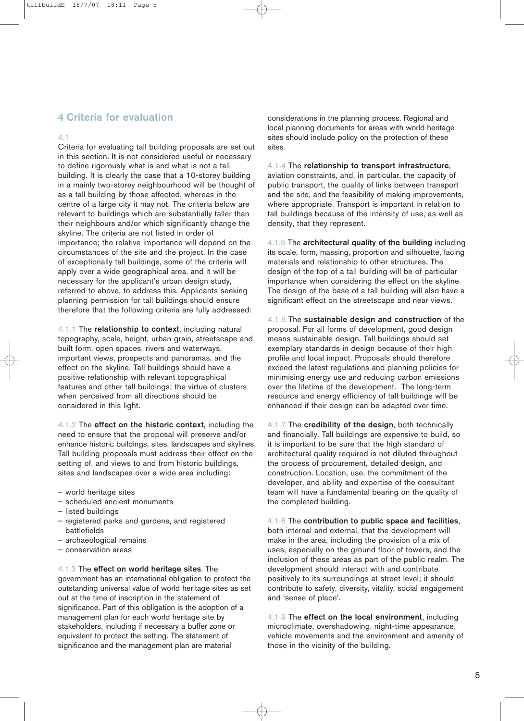### 4 Criteria for evaluation

### 4.1

Criteria for evaluating tall building proposals are set out in this section. It is not considered useful or necessary to define rigorously what is and what is not a tall building. It is clearly the case that a 10-storey building in a mainly two-storey neighbourhood will be thought of as a tall building by those affected, whereas in the centre of a large city it may not. The criteria below are relevant to buildings which are substantially taller than their neighbours and/or which significantly change the skyline. The criteria are not listed in order of importance; the relative importance will depend on the circumstances of the site and the project. In the case of exceptionally tall buildings, some of the criteria will apply over a wide geographical area, and it will be necessary for the applicant's urban design study, referred to above, to address this. Applicants seeking planning permission for tall buildings should ensure therefore that the following criteria are fully addressed:

4.1.1 The relationship to context, including natural topography, scale, height, urban grain, streetscape and built form, open spaces, rivers and waterways, important views, prospects and panoramas, and the effect on the skyline. Tall buildings should have a positive relationship with relevant topographical features and other tall buildings; the virtue of clusters when perceived from all directions should be considered in this light.

4.1.2 The effect on the historic context, including the need to ensure that the proposal will preserve and/or enhance historic buildings, sites, landscapes and skylines. Tall building proposals must address their effect on the setting of, and views to and from historic buildings, sites and landscapes over a wide area including:

- world heritage sites
- scheduled ancient monuments
- listed buildings
- registered parks and gardens, and registered battlefields
- archaeological remains
- conservation areas

### 4.1.3 The effect on world heritage sites. The

government has an international obligation to protect the outstanding universal value of world heritage sites as set out at the time of inscription in the statement of significance. Part of this obligation is the adoption of a management plan for each world heritage site by stakeholders, including if necessary a buffer zone or equivalent to protect the setting. The statement of significance and the management plan are material

considerations in the planning process. Regional and local planning documents for areas with world heritage sites should include policy on the protection of these sites.

4.1.4 The relationship to transport infrastructure,

aviation constraints, and, in particular, the capacity of public transport, the quality of links between transport and the site, and the feasibility of making improvements, where appropriate. Transport is important in relation to tall buildings because of the intensity of use, as well as density, that they represent.

4.1.5 The architectural quality of the building including its scale, form, massing, proportion and silhouette, facing materials and relationship to other structures. The design of the top of a tall building will be of particular importance when considering the effect on the skyline. The design of the base of a tall building will also have a significant effect on the streetscape and near views.

4.1.6 The sustainable design and construction of the proposal. For all forms of development, good design means sustainable design. Tall buildings should set exemplary standards in design because of their high profile and local impact. Proposals should therefore exceed the latest regulations and planning policies for minimising energy use and reducing carbon emissions over the lifetime of the development. The long-term resource and energy efficiency of tall buildings will be enhanced if their design can be adapted over time.

4.1.7 The credibility of the design, both technically and financially. Tall buildings are expensive to build, so it is important to be sure that the high standard of architectural quality required is not diluted throughout the process of procurement, detailed design, and construction. Location, use, the commitment of the developer, and ability and expertise of the consultant team will have a fundamental bearing on the quality of the completed building.

4.1.8 The contribution to public space and facilities, both internal and external, that the development will make in the area, including the provision of a mix of uses, especially on the ground floor of towers, and the inclusion of these areas as part of the public realm. The development should interact with and contribute positively to its surroundings at street level; it should contribute to safety, diversity, vitality, social engagement and 'sense of place'.

4.1.9 The effect on the local environment, including microclimate, overshadowing, night-time appearance, vehicle movements and the environment and amenity of those in the vicinity of the building.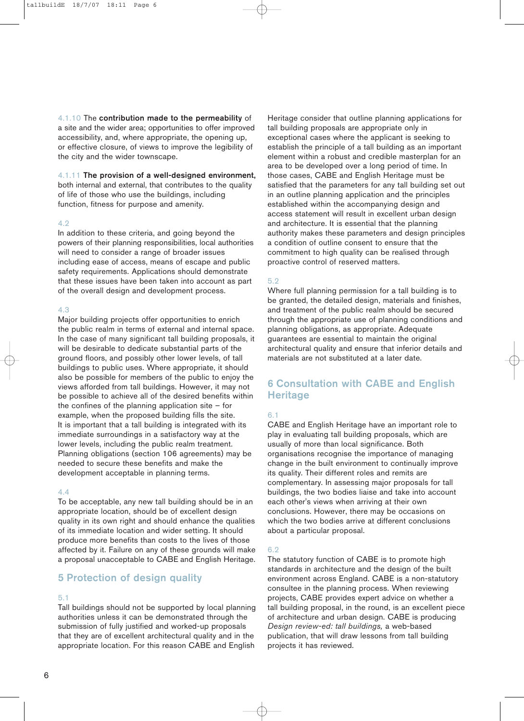4.1.10 The contribution made to the permeability of a site and the wider area; opportunities to offer improved accessibility, and, where appropriate, the opening up, or effective closure, of views to improve the legibility of the city and the wider townscape.

### 4.1.11 The provision of a well-designed environment,

both internal and external, that contributes to the quality of life of those who use the buildings, including function, fitness for purpose and amenity.

#### 4.2

In addition to these criteria, and going beyond the powers of their planning responsibilities, local authorities will need to consider a range of broader issues including ease of access, means of escape and public safety requirements. Applications should demonstrate that these issues have been taken into account as part of the overall design and development process.

### 4.3

Major building projects offer opportunities to enrich the public realm in terms of external and internal space. In the case of many significant tall building proposals, it will be desirable to dedicate substantial parts of the ground floors, and possibly other lower levels, of tall buildings to public uses. Where appropriate, it should also be possible for members of the public to enjoy the views afforded from tall buildings. However, it may not be possible to achieve all of the desired benefits within the confines of the planning application site  $-$  for example, when the proposed building fills the site. It is important that a tall building is integrated with its immediate surroundings in a satisfactory way at the lower levels, including the public realm treatment. Planning obligations (section 106 agreements) may be needed to secure these benefits and make the development acceptable in planning terms.

### 4.4

To be acceptable, any new tall building should be in an appropriate location, should be of excellent design quality in its own right and should enhance the qualities of its immediate location and wider setting. It should produce more benefits than costs to the lives of those affected by it. Failure on any of these grounds will make a proposal unacceptable to CABE and English Heritage.

### 5 Protection of design quality

### 5.1

Tall buildings should not be supported by local planning authorities unless it can be demonstrated through the submission of fully justified and worked-up proposals that they are of excellent architectural quality and in the appropriate location. For this reason CABE and English

Heritage consider that outline planning applications for tall building proposals are appropriate only in exceptional cases where the applicant is seeking to establish the principle of a tall building as an important element within a robust and credible masterplan for an area to be developed over a long period of time. In those cases, CABE and English Heritage must be satisfied that the parameters for any tall building set out in an outline planning application and the principles established within the accompanying design and access statement will result in excellent urban design and architecture. It is essential that the planning authority makes these parameters and design principles a condition of outline consent to ensure that the commitment to high quality can be realised through proactive control of reserved matters.

### 5.2

Where full planning permission for a tall building is to be granted, the detailed design, materials and finishes, and treatment of the public realm should be secured through the appropriate use of planning conditions and planning obligations, as appropriate. Adequate guarantees are essential to maintain the original architectural quality and ensure that inferior details and materials are not substituted at a later date.

### 6 Consultation with CABE and English **Heritage**

### 6.1

CABE and English Heritage have an important role to play in evaluating tall building proposals, which are usually of more than local significance. Both organisations recognise the importance of managing change in the built environment to continually improve its quality. Their different roles and remits are complementary. In assessing major proposals for tall buildings, the two bodies liaise and take into account each other's views when arriving at their own conclusions. However, there may be occasions on which the two bodies arrive at different conclusions about a particular proposal.

### 6.2

The statutory function of CABE is to promote high standards in architecture and the design of the built environment across England. CABE is a non-statutory consultee in the planning process. When reviewing projects, CABE provides expert advice on whether a tall building proposal, in the round, is an excellent piece of architecture and urban design. CABE is producing *Design review-ed: tall buildings,* a web-based publication, that will draw lessons from tall building projects it has reviewed.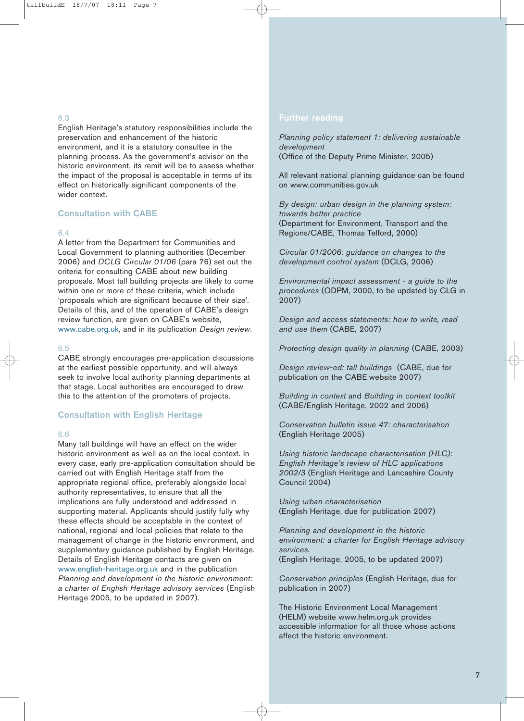### 6.3

English Heritage's statutory responsibilities include the preservation and enhancement of the historic environment, and it is a statutory consultee in the planning process. As the government's advisor on the historic environment, its remit will be to assess whether the impact of the proposal is acceptable in terms of its effect on historically significant components of the wider context.

### Consultation with CABE

### 6.4

A letter from the Department for Communities and Local Government to planning authorities (December 2006) and *DCLG Circular 01/06* (para 76) set out the criteria for consulting CABE about new building proposals. Most tall building projects are likely to come within one or more of these criteria, which include 'proposals which are significant because of their size'. Details of this, and of the operation of CABE's design review function, are given on CABE's website, www.cabe.org.uk, and in its publication *Design review*.

#### 6.5

CABE strongly encourages pre-application discussions at the earliest possible opportunity, and will always seek to involve local authority planning departments at that stage. Local authorities are encouraged to draw this to the attention of the promoters of projects.

### Consultation with English Heritage

#### 6.6

Many tall buildings will have an effect on the wider historic environment as well as on the local context. In every case, early pre-application consultation should be carried out with English Heritage staff from the appropriate regional office, preferably alongside local authority representatives, to ensure that all the implications are fully understood and addressed in supporting material. Applicants should justify fully why these effects should be acceptable in the context of national, regional and local policies that relate to the management of change in the historic environment, and supplementary guidance published by English Heritage. Details of English Heritage contacts are given on www.english-heritage.org.uk and in the publication *Planning and development in the historic environment: a charter of English Heritage advisory services* (English Heritage 2005, to be updated in 2007).

*Planning policy statement 1: delivering sustainable development* (Office of the Deputy Prime Minister, 2005)

All relevant national planning guidance can be found on www.communities.gov.uk

*By design: urban design in the planning system: towards better practice* (Department for Environment, Transport and the Regions/CABE, Thomas Telford, 2000)

*Circular 01/2006: guidance on changes to the development control system* (DCLG, 2006)

*Environmental impact assessment - a guide to the procedures* (ODPM, 2000, to be updated by CLG in 2007)

*Design and access statements: how to write, read and use them* (CABE, 2007)

*Protecting design quality in planning* (CABE, 2003)

*Design review-ed: tall buildings* (CABE, due for publication on the CABE website 2007)

*Building in context* and *Building in context toolkit*  (CABE/English Heritage, 2002 and 2006)

*Conservation bulletin issue 47: characterisation* (English Heritage 2005)

*Using historic landscape characterisation (HLC): English Heritage's review of HLC applications 2002/3* (English Heritage and Lancashire County Council 2004)

*Using urban characterisation*  (English Heritage, due for publication 2007)

*Planning and development in the historic environment: a charter for English Heritage advisory services.* 

(English Heritage, 2005, to be updated 2007)

*Conservation principles* (English Heritage, due for publication in 2007)

The Historic Environment Local Management (HELM) website www.helm.org.uk provides accessible information for all those whose actions affect the historic environment.